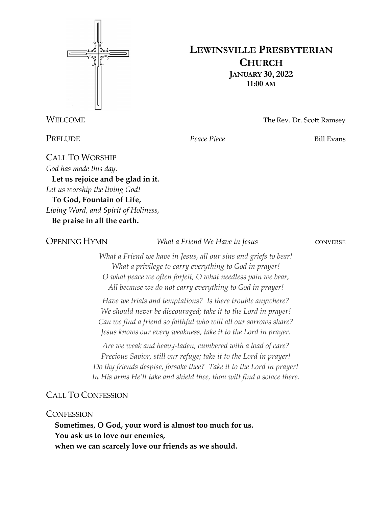

## **LEWINSVILLE PRESBYTERIAN CHURCH JANUARY 30, 2022 11:00 AM**

**WELCOME** The Rev. Dr. Scott Ramsey

**PRELUDE** *Peace Piece Peace Piece* Bill Evans

CALL TO WORSHIP *God has made this day.* **Let us rejoice and be glad in it.** *Let us worship the living God!* **To God, Fountain of Life,** *Living Word, and Spirit of Holiness,* **Be praise in all the earth.**

**OPENING HYMN** *What a Friend We Have in Jesus* CONVERSE

*What a Friend we have in Jesus, all our sins and griefs to bear! What a privilege to carry everything to God in prayer! O what peace we often forfeit, O what needless pain we bear, All because we do not carry everything to God in prayer!*

*Have we trials and temptations? Is there trouble anywhere? We should never be discouraged; take it to the Lord in prayer! Can we find a friend so faithful who will all our sorrows share? Jesus knows our every weakness, take it to the Lord in prayer.*

*Are we weak and heavy-laden, cumbered with a load of care? Precious Savior, still our refuge; take it to the Lord in prayer! Do thy friends despise, forsake thee? Take it to the Lord in prayer! In His arms He'll take and shield thee, thou wilt find a solace there.*

## CALL TO CONFESSION

**CONFESSION** 

**Sometimes, O God, your word is almost too much for us. You ask us to love our enemies, when we can scarcely love our friends as we should.**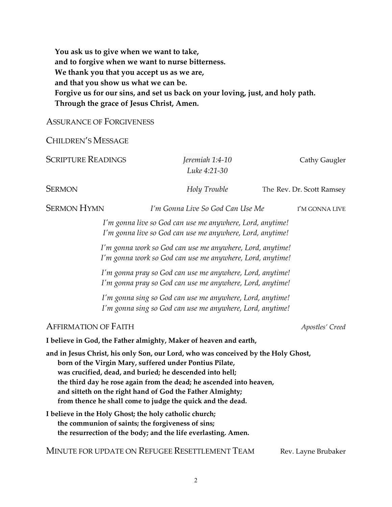**You ask us to give when we want to take, and to forgive when we want to nurse bitterness. We thank you that you accept us as we are, and that you show us what we can be. Forgive us for our sins, and set us back on your loving, just, and holy path. Through the grace of Jesus Christ, Amen.**

## ASSURANCE OF FORGIVENESS

CHILDREN'S MESSAGE

| <b>SCRIPTURE READINGS</b>                                                                                                                                                                                                                                                                                                                                                                                  |                                                                                                                                                                              | Jeremiah 1:4-10<br>Luke 4:21-30                                                                                        | Cathy Gaugler             |  |  |
|------------------------------------------------------------------------------------------------------------------------------------------------------------------------------------------------------------------------------------------------------------------------------------------------------------------------------------------------------------------------------------------------------------|------------------------------------------------------------------------------------------------------------------------------------------------------------------------------|------------------------------------------------------------------------------------------------------------------------|---------------------------|--|--|
| <b>SERMON</b>                                                                                                                                                                                                                                                                                                                                                                                              |                                                                                                                                                                              | Holy Trouble                                                                                                           | The Rev. Dr. Scott Ramsey |  |  |
| <b>SERMON HYMN</b>                                                                                                                                                                                                                                                                                                                                                                                         |                                                                                                                                                                              | I'm Gonna Live So God Can Use Me                                                                                       | I'M GONNA LIVE            |  |  |
|                                                                                                                                                                                                                                                                                                                                                                                                            |                                                                                                                                                                              | I'm gonna live so God can use me anywhere, Lord, anytime!<br>I'm gonna live so God can use me anywhere, Lord, anytime! |                           |  |  |
|                                                                                                                                                                                                                                                                                                                                                                                                            |                                                                                                                                                                              | I'm gonna work so God can use me anywhere, Lord, anytime!<br>I'm gonna work so God can use me anywhere, Lord, anytime! |                           |  |  |
|                                                                                                                                                                                                                                                                                                                                                                                                            |                                                                                                                                                                              | I'm gonna pray so God can use me anywhere, Lord, anytime!<br>I'm gonna pray so God can use me anywhere, Lord, anytime! |                           |  |  |
|                                                                                                                                                                                                                                                                                                                                                                                                            |                                                                                                                                                                              | I'm gonna sing so God can use me anywhere, Lord, anytime!<br>I'm gonna sing so God can use me anywhere, Lord, anytime! |                           |  |  |
| <b>AFFIRMATION OF FAITH</b>                                                                                                                                                                                                                                                                                                                                                                                |                                                                                                                                                                              |                                                                                                                        | Apostles' Creed           |  |  |
| I believe in God, the Father almighty, Maker of heaven and earth,                                                                                                                                                                                                                                                                                                                                          |                                                                                                                                                                              |                                                                                                                        |                           |  |  |
| and in Jesus Christ, his only Son, our Lord, who was conceived by the Holy Ghost,<br>born of the Virgin Mary, suffered under Pontius Pilate,<br>was crucified, dead, and buried; he descended into hell;<br>the third day he rose again from the dead; he ascended into heaven,<br>and sitteth on the right hand of God the Father Almighty;<br>from thence he shall come to judge the quick and the dead. |                                                                                                                                                                              |                                                                                                                        |                           |  |  |
|                                                                                                                                                                                                                                                                                                                                                                                                            | I believe in the Holy Ghost; the holy catholic church;<br>the communion of saints; the forgiveness of sins;<br>the resurrection of the body; and the life everlasting. Amen. |                                                                                                                        |                           |  |  |
|                                                                                                                                                                                                                                                                                                                                                                                                            | MINUTE FOR UPDATE ON REFUGEE RESETTLEMENT TEAM                                                                                                                               |                                                                                                                        | Rev. Layne Brubaker       |  |  |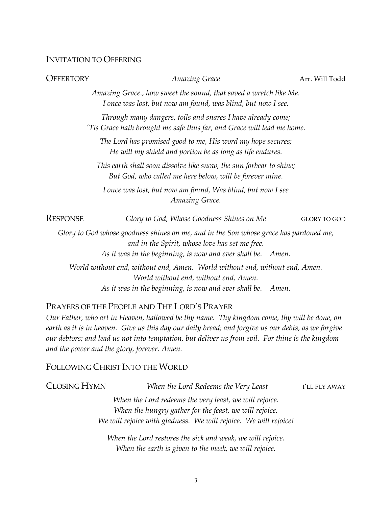#### INVITATION TO OFFERING

| <b>OFFERTORY</b> | <b>Amazing Grace</b>                                                                                                                                                                                   | Arr. Will Todd      |
|------------------|--------------------------------------------------------------------------------------------------------------------------------------------------------------------------------------------------------|---------------------|
|                  | Amazing Grace., how sweet the sound, that saved a wretch like Me.<br>I once was lost, but now am found, was blind, but now I see.                                                                      |                     |
|                  | Through many dangers, toils and snares I have already come;<br>'Tis Grace hath brought me safe thus far, and Grace will lead me home.                                                                  |                     |
|                  | The Lord has promised good to me, His word my hope secures;<br>He will my shield and portion be as long as life endures.                                                                               |                     |
|                  | This earth shall soon dissolve like snow, the sun forbear to shine;<br>But God, who called me here below, will be forever mine.                                                                        |                     |
|                  | I once was lost, but now am found, Was blind, but now I see<br>Amazing Grace.                                                                                                                          |                     |
| <b>RESPONSE</b>  | Glory to God, Whose Goodness Shines on Me                                                                                                                                                              | <b>GLORY TO GOD</b> |
|                  | Glory to God whose goodness shines on me, and in the Son whose grace has pardoned me,<br>and in the Spirit, whose love has set me free.<br>As it was in the beginning, is now and ever shall be. Amen. |                     |
|                  | World without end, without end, Amen. World without end, without end, Amen.<br>World without end, without end, Amen.<br>As it was in the beginning, is now and ever shall be.<br>Amen.                 |                     |
|                  | PRAYERS OF THE PEOPLE AND THE LORD'S PRAYER<br>Pulley International International International International International International International Inter<br>$-1$ 1 1 1 $-1$                       |                     |

*Our Father, who art in Heaven, hallowed be thy name. Thy kingdom come, thy will be done, on earth as it is in heaven. Give us this day our daily bread; and forgive us our debts, as we forgive our debtors; and lead us not into temptation, but deliver us from evil. For thine is the kingdom and the power and the glory, forever. Amen.* 

#### FOLLOWING CHRIST INTO THE WORLD

| <b>CLOSING HYMN</b>                                    | When the Lord Redeems the Very Least                             | I'LL FLY AWAY |  |
|--------------------------------------------------------|------------------------------------------------------------------|---------------|--|
|                                                        | When the Lord redeems the very least, we will rejoice.           |               |  |
| When the hungry gather for the feast, we will rejoice. |                                                                  |               |  |
|                                                        | We will rejoice with gladness. We will rejoice. We will rejoice! |               |  |
|                                                        |                                                                  |               |  |

*When the Lord restores the sick and weak, we will rejoice. When the earth is given to the meek, we will rejoice.*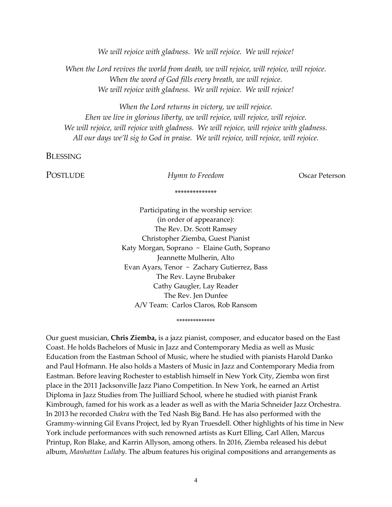*We will rejoice with gladness. We will rejoice. We will rejoice!*

*When the Lord revives the world from death, we will rejoice, will rejoice, will rejoice. When the word of God fills every breath, we will rejoice. We will rejoice with gladness. We will rejoice. We will rejoice!*

*When the Lord returns in victory, we will rejoice. Ehen we live in glorious liberty, we will rejoice, will rejoice, will rejoice. We will rejoice, will rejoice with gladness. We will rejoice, will rejoice with gladness. All our days we'll sig to God in praise. We will rejoice, will rejoice, will rejoice.*

**BLESSING** 

POSTLUDE *Hymn to Freedom* Oscar Peterson

\*\*\*\*\*\*\*\*\*\*\*\*\*\*

Participating in the worship service: (in order of appearance): The Rev. Dr. Scott Ramsey Christopher Ziemba, Guest Pianist Katy Morgan, Soprano ~ Elaine Guth, Soprano Jeannette Mulherin, Alto Evan Ayars, Tenor ~ Zachary Gutierrez, Bass The Rev. Layne Brubaker Cathy Gaugler, Lay Reader The Rev. Jen Dunfee A/V Team: Carlos Claros, Rob Ransom

\*\*\*\*\*\*\*\*\*\*\*\*\*\*

Our guest musician, **Chris Ziemba,** is a jazz pianist, composer, and educator based on the East Coast. He holds Bachelors of Music in Jazz and Contemporary Media as well as Music Education from the Eastman School of Music, where he studied with pianists Harold Danko and Paul Hofmann. He also holds a Masters of Music in Jazz and Contemporary Media from Eastman. Before leaving Rochester to establish himself in New York City, Ziemba won first place in the 2011 Jacksonville Jazz Piano Competition. In New York, he earned an Artist Diploma in Jazz Studies from The Juilliard School, where he studied with pianist Frank Kimbrough, famed for his work as a leader as well as with the Maria Schneider Jazz Orchestra. In 2013 he recorded *Chakra* with the Ted Nash Big Band. He has also performed with the Grammy-winning Gil Evans Project, led by Ryan Truesdell. Other highlights of his time in New York include performances with such renowned artists as Kurt Elling, Carl Allen, Marcus Printup, Ron Blake, and Karrin Allyson, among others. In 2016, Ziemba released his debut album, *Manhattan Lullaby*. The album features his original compositions and arrangements as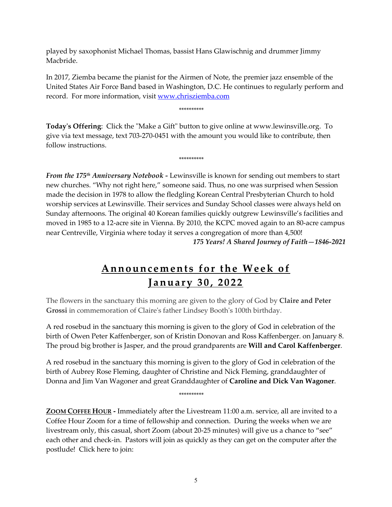played by saxophonist Michael Thomas, bassist Hans Glawischnig and drummer Jimmy Macbride.

In 2017, Ziemba became the pianist for the Airmen of Note, the premier jazz ensemble of the United States Air Force Band based in Washington, D.C. He continues to regularly perform and record. For more information, visit [www.chrisziemba.com](http://www.chrisziemba.com/)

\*\*\*\*\*\*\*\*\*\*

**Today's Offering**: Click the "Make a Gift" button to give online at www.lewinsville.org. To give via text message, text 703-270-0451 with the amount you would like to contribute, then follow instructions.

\*\*\*\*\*\*\*\*\*\*

*From the 175th Anniversary Notebook -* Lewinsville is known for sending out members to start new churches. "Why not right here," someone said. Thus, no one was surprised when Session made the decision in 1978 to allow the fledgling Korean Central Presbyterian Church to hold worship services at Lewinsville. Their services and Sunday School classes were always held on Sunday afternoons. The original 40 Korean families quickly outgrew Lewinsville's facilities and moved in 1985 to a 12-acre site in Vienna. By 2010, the KCPC moved again to an 80-acre campus near Centreville, Virginia where today it serves a congregation of more than 4,500! *175 Years! A Shared Journey of Faith—1846-2021*

# **Announcements for the Week of J an uary 3 0 , 2022**

The flowers in the sanctuary this morning are given to the glory of God by **Claire and Peter Grossi** in commemoration of Claire's father Lindsey Booth's 100th birthday.

A red rosebud in the sanctuary this morning is given to the glory of God in celebration of the birth of Owen Peter Kaffenberger, son of Kristin Donovan and Ross Kaffenberger. on January 8. The proud big brother is Jasper, and the proud grandparents are **Will and Carol Kaffenberger**.

A red rosebud in the sanctuary this morning is given to the glory of God in celebration of the birth of Aubrey Rose Fleming, daughter of Christine and Nick Fleming, granddaughter of Donna and Jim Van Wagoner and great Granddaughter of **Caroline and Dick Van Wagoner**.

\*\*\*\*\*\*\*\*\*\*

**ZOOM COFFEE HOUR -** Immediately after the Livestream 11:00 a.m. service, all are invited to a Coffee Hour Zoom for a time of fellowship and connection. During the weeks when we are livestream only, this casual, short Zoom (about 20-25 minutes) will give us a chance to "see" each other and check-in. Pastors will join as quickly as they can get on the computer after the postlude! Click here to join: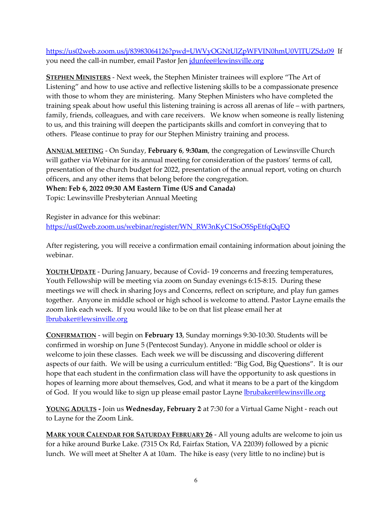<https://us02web.zoom.us/j/83983064126?pwd=UWVyOGNtUlZpWFVIN0hmU0VlTUZSdz09> If you need the call-in number, email Pastor Jen [jdunfee@lewinsville.org](mailto:jdunfee@lewinsville.org)

**STEPHEN MINISTERS** - Next week, the Stephen Minister trainees will explore "The Art of Listening" and how to use active and reflective listening skills to be a compassionate presence with those to whom they are ministering. Many Stephen Ministers who have completed the training speak about how useful this listening training is across all arenas of life – with partners, family, friends, colleagues, and with care receivers. We know when someone is really listening to us, and this training will deepen the participants skills and comfort in conveying that to others. Please continue to pray for our Stephen Ministry training and process.

**ANNUAL MEETING** - On Sunday, **February 6**, **9:30am**, the congregation of Lewinsville Church will gather via Webinar for its annual meeting for consideration of the pastors' terms of call, presentation of the church budget for 2022, presentation of the annual report, voting on church officers, and any other items that belong before the congregation. **When: Feb 6, 2022 09:30 AM Eastern Time (US and Canada)**  Topic: Lewinsville Presbyterian Annual Meeting

Register in advance for this webinar: [https://us02web.zoom.us/webinar/register/WN\\_RW3nKyC1SoO5SpEtfqQqEQ](https://us02web.zoom.us/webinar/register/WN_RW3nKyC1SoO5SpEtfqQqEQ)

After registering, you will receive a confirmation email containing information about joining the webinar.

**YOUTH UPDATE** - During January, because of Covid- 19 concerns and freezing temperatures, Youth Fellowship will be meeting via zoom on Sunday evenings 6:15-8:15. During these meetings we will check in sharing Joys and Concerns, reflect on scripture, and play fun games together. Anyone in middle school or high school is welcome to attend. Pastor Layne emails the zoom link each week. If you would like to be on that list please email her at [lbrubaker@lewsinville.org](mailto:lbrubaker@lewsinville.org)

**CONFIRMATION** - will begin on **February 13**, Sunday mornings 9:30-10:30. Students will be confirmed in worship on June 5 (Pentecost Sunday). Anyone in middle school or older is welcome to join these classes. Each week we will be discussing and discovering different aspects of our faith. We will be using a curriculum entitled: "Big God, Big Questions". It is our hope that each student in the confirmation class will have the opportunity to ask questions in hopes of learning more about themselves, God, and what it means to be a part of the kingdom of God. If you would like to sign up please email pastor Layne [lbrubaker@lewinsville.org](mailto:lbrubaker@lewinsville.org)

**YOUNG ADULTS -** Join us **Wednesday, February 2**, at 7:30 for a Virtual Game Night - reach out to Layne for the Zoom Link.

**MARK YOUR CALENDAR FOR SATURDAY FEBRUARY 26** - All young adults are welcome to join us for a hike around Burke Lake. (7315 Ox Rd, Fairfax Station, VA 22039) followed by a picnic lunch. We will meet at Shelter A at 10am. The hike is easy (very little to no incline) but is